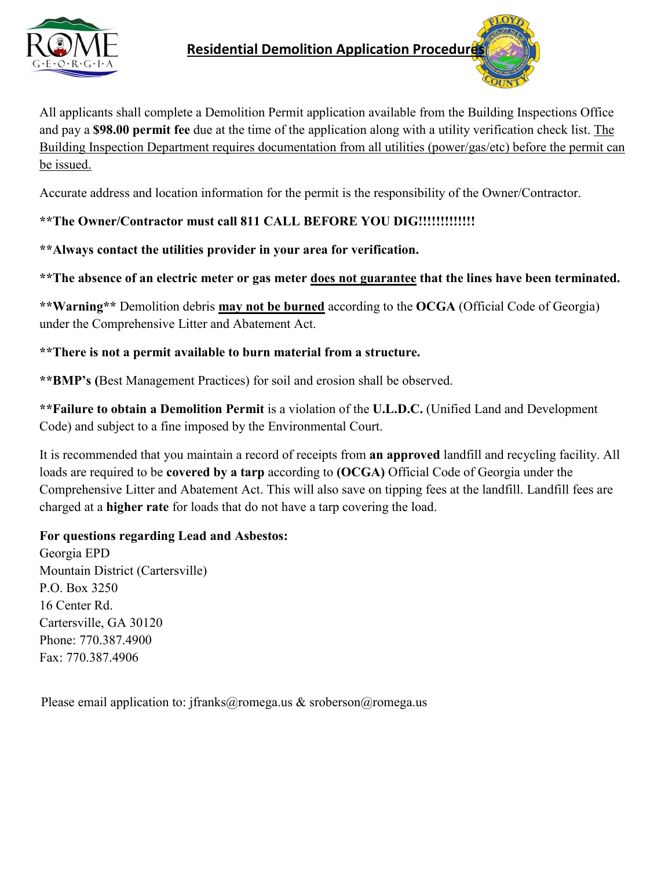

All applicants shall complete a Demolition Permit application available from the Building Inspections Office and pay a **\$98.00 permit fee** due at the time of the application along with a utility verification check list. The Building Inspection Department requires documentation from all utilities (power/gas/etc) before the permit can be issued.

Accurate address and location information for the permit is the responsibility of the Owner/Contractor.

## **\*\*The Owner/Contractor must call 811 CALL BEFORE YOU DIG!!!!!!!!!!!!!**

- **\*\*Always contact the utilities provider in your area for verification.**
- **\*\*The absence of an electric meter or gas meter does not guarantee that the lines have been terminated.**

**\*\*Warning\*\*** Demolition debris **may not be burned** according to the **OCGA** (Official Code of Georgia) under the Comprehensive Litter and Abatement Act.

## **\*\*There is not a permit available to burn material from a structure.**

**\*\*BMP's (**Best Management Practices) for soil and erosion shall be observed.

**\*\*Failure to obtain a Demolition Permit** is a violation of the **U.L.D.C.** (Unified Land and Development Code) and subject to a fine imposed by the Environmental Court.

It is recommended that you maintain a record of receipts from **an approved** landfill and recycling facility. All loads are required to be **covered by a tarp** according to **(OCGA)** Official Code of Georgia under the Comprehensive Litter and Abatement Act. This will also save on tipping fees at the landfill. Landfill fees are charged at a **higher rate** for loads that do not have a tarp covering the load.

## **For questions regarding Lead and Asbestos:**

Georgia EPD Mountain District (Cartersville) P.O. Box 3250 16 Center Rd. Cartersville, GA 30120 Phone: 770.387.4900 Fax: 770.387.4906

Please email application to: jfranks@romega.us & sroberson@romega.us